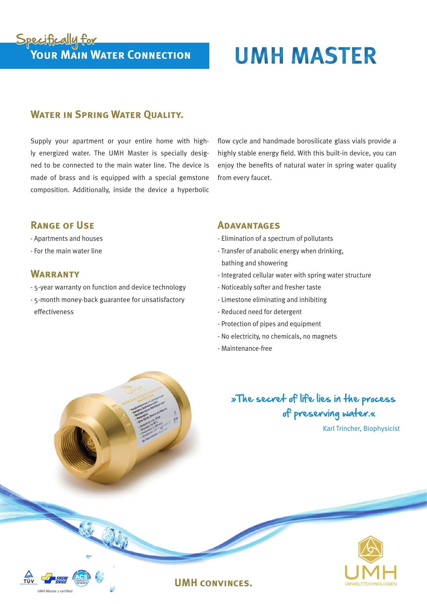# Specifically for<br>
Your Main Water Connection<br>
UMH MASTER

### **WATER IN SPRING WATER OUALITY.**

Supply your apartment or your entire home with highly energized water. The UMH Master is specially designed to be connected to the main water line. The device is made of brass and is equipped with a special gemstone composition. Additionally, inside the device a hyperbolic flow cycle and handmade borosilicate glass vials provide a highly stable energy field. With this built-in device, you can enjoy the benefits of natural water in spring water quality from every faucet.

#### **Range of Use**

- Apartments and houses
- For the main water line

#### **WARRANTY**

UMH Master 2 certified

- 5-year warranty on function and device technology
- 5-month money-back guarantee for unsatisfactory effectiveness

#### **Adavantages**

- Elimination of a spectrum of pollutants
- Transfer of anabolic energy when drinking,
- bathing and showering
- Integrated cellular water with spring water structure
- Noticeably softer and fresher taste
- Limestone eliminating and inhibiting
- Reduced need for detergent
- Protection of pipes and equipment
- No electricity, no chemicals, no magnets
- Maintenance-free

**UMH convinces.**

# »The secret of life lies in the process of preserving water.«

Karl Trincher, Biophysicist